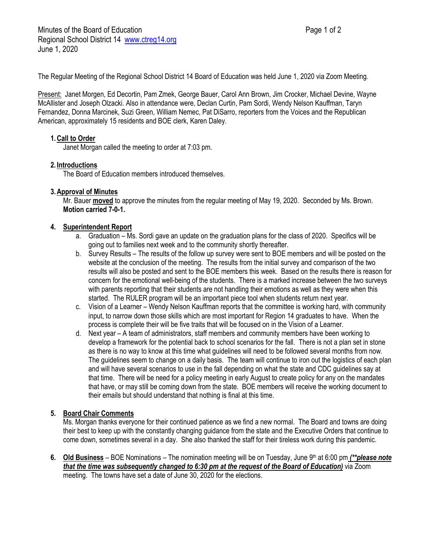The Regular Meeting of the Regional School District 14 Board of Education was held June 1, 2020 via Zoom Meeting.

Present: Janet Morgen, Ed Decortin, Pam Zmek, George Bauer, Carol Ann Brown, Jim Crocker, Michael Devine, Wayne McAllister and Joseph Olzacki. Also in attendance were, Declan Curtin, Pam Sordi, Wendy Nelson Kauffman, Taryn Fernandez, Donna Marcinek, Suzi Green, William Nemec, Pat DiSarro, reporters from the Voices and the Republican American, approximately 15 residents and BOE clerk, Karen Daley.

## **1.Call to Order**

Janet Morgan called the meeting to order at 7:03 pm.

## **2. Introductions**

The Board of Education members introduced themselves.

## **3.Approval of Minutes**

Mr. Bauer **moved** to approve the minutes from the regular meeting of May 19, 2020. Seconded by Ms. Brown. **Motion carried 7-0-1.**

## **4. Superintendent Report**

- a. Graduation Ms. Sordi gave an update on the graduation plans for the class of 2020. Specifics will be going out to families next week and to the community shortly thereafter.
- b. Survey Results The results of the follow up survey were sent to BOE members and will be posted on the website at the conclusion of the meeting. The results from the initial survey and comparison of the two results will also be posted and sent to the BOE members this week. Based on the results there is reason for concern for the emotional well-being of the students. There is a marked increase between the two surveys with parents reporting that their students are not handling their emotions as well as they were when this started. The RULER program will be an important piece tool when students return next year.
- c. Vision of a Learner Wendy Nelson Kauffman reports that the committee is working hard, with community input, to narrow down those skills which are most important for Region 14 graduates to have. When the process is complete their will be five traits that will be focused on in the Vision of a Learner.
- d. Next year A team of administrators, staff members and community members have been working to develop a framework for the potential back to school scenarios for the fall. There is not a plan set in stone as there is no way to know at this time what guidelines will need to be followed several months from now. The guidelines seem to change on a daily basis. The team will continue to iron out the logistics of each plan and will have several scenarios to use in the fall depending on what the state and CDC guidelines say at that time. There will be need for a policy meeting in early August to create policy for any on the mandates that have, or may still be coming down from the state. BOE members will receive the working document to their emails but should understand that nothing is final at this time.

#### **5. Board Chair Comments**

Ms. Morgan thanks everyone for their continued patience as we find a new normal. The Board and towns are doing their best to keep up with the constantly changing guidance from the state and the Executive Orders that continue to come down, sometimes several in a day. She also thanked the staff for their tireless work during this pandemic.

6. **Old Business** – BOE Nominations – The nomination meeting will be on Tuesday, June 9<sup>th</sup> at 6:00 pm *(\*\*please note that the time was subsequently changed to 6:30 pm at the request of the Board of Education)* via Zoom meeting. The towns have set a date of June 30, 2020 for the elections.